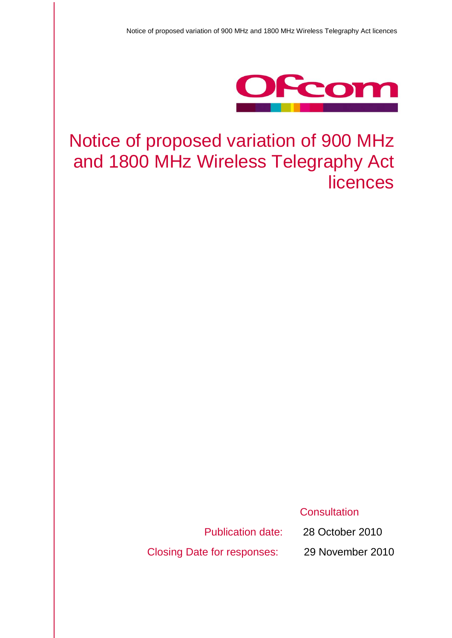

# Notice of proposed variation of 900 MHz and 1800 MHz Wireless Telegraphy Act licences

**Consultation** 

Closing Date for responses: 29 November 2010

Publication date: 28 October 2010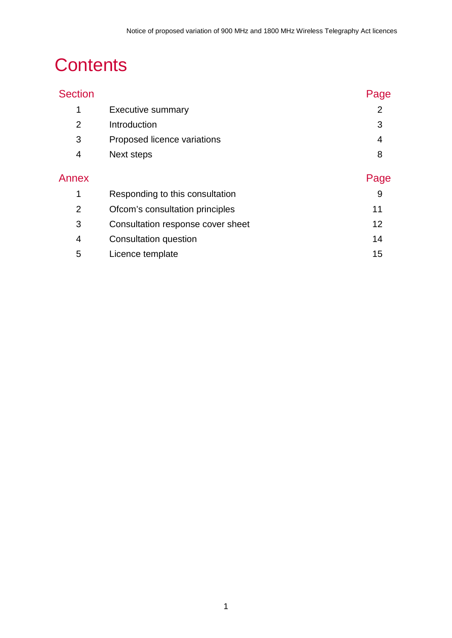# **Contents**

| <b>Section</b> |                                   | Page           |
|----------------|-----------------------------------|----------------|
| 1              | <b>Executive summary</b>          | $\overline{2}$ |
| $\overline{2}$ | Introduction                      | 3              |
| 3              | Proposed licence variations       | 4              |
| 4              | Next steps                        | 8              |
| Annex          |                                   | Page           |
| 1              | Responding to this consultation   | 9              |
| $\overline{2}$ | Ofcom's consultation principles   | 11             |
| 3              | Consultation response cover sheet | 12             |
| 4              | Consultation question             | 14             |
| 5              | Licence template                  | 15             |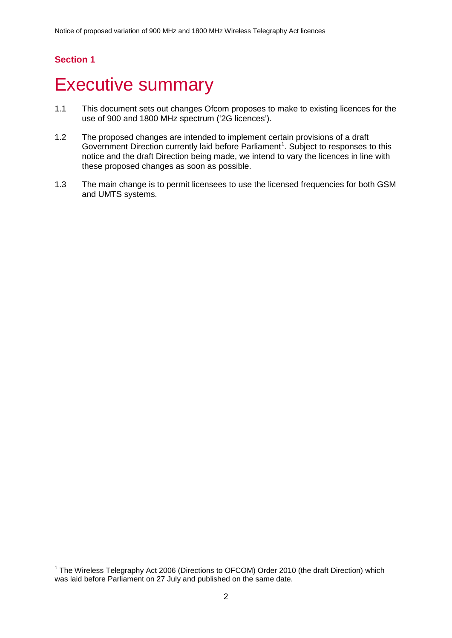# <span id="page-2-0"></span>**Executive summary**

- 1.1 This document sets out changes Ofcom proposes to make to existing licences for the use of 900 and 1800 MHz spectrum ('2G licences').
- 1.2 The proposed changes are intended to implement certain provisions of a draft Government Direction currently laid before Parliament<sup>[1](#page-2-1)</sup>. Subject to responses to this notice and the draft Direction being made, we intend to vary the licences in line with these proposed changes as soon as possible.
- 1.3 The main change is to permit licensees to use the licensed frequencies for both GSM and UMTS systems.

<span id="page-2-1"></span><sup>&</sup>lt;sup>1</sup> The Wireless Telegraphy Act 2006 (Directions to OFCOM) Order 2010 (the draft Direction) which was laid before Parliament on 27 July and published on the same date.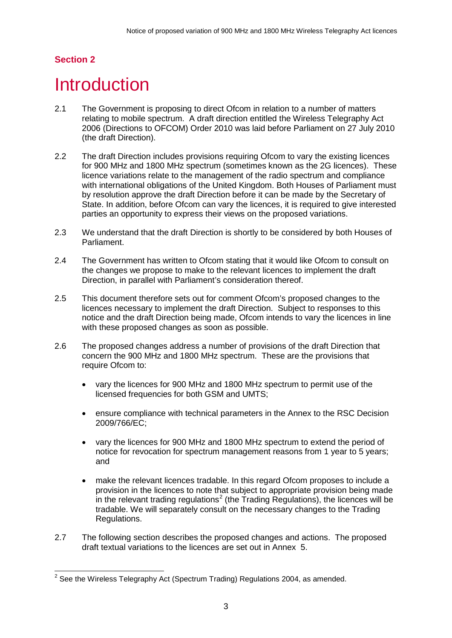# <span id="page-3-0"></span>**Introduction**

- 2.1 The Government is proposing to direct Ofcom in relation to a number of matters relating to mobile spectrum. A draft direction entitled the Wireless Telegraphy Act 2006 (Directions to OFCOM) Order 2010 was laid before Parliament on 27 July 2010 (the draft Direction).
- 2.2 The draft Direction includes provisions requiring Ofcom to vary the existing licences for 900 MHz and 1800 MHz spectrum (sometimes known as the 2G licences). These licence variations relate to the management of the radio spectrum and compliance with international obligations of the United Kingdom. Both Houses of Parliament must by resolution approve the draft Direction before it can be made by the Secretary of State. In addition, before Ofcom can vary the licences, it is required to give interested parties an opportunity to express their views on the proposed variations.
- 2.3 We understand that the draft Direction is shortly to be considered by both Houses of Parliament.
- 2.4 The Government has written to Ofcom stating that it would like Ofcom to consult on the changes we propose to make to the relevant licences to implement the draft Direction, in parallel with Parliament's consideration thereof.
- 2.5 This document therefore sets out for comment Ofcom's proposed changes to the licences necessary to implement the draft Direction. Subject to responses to this notice and the draft Direction being made, Ofcom intends to vary the licences in line with these proposed changes as soon as possible.
- 2.6 The proposed changes address a number of provisions of the draft Direction that concern the 900 MHz and 1800 MHz spectrum. These are the provisions that require Ofcom to:
	- vary the licences for 900 MHz and 1800 MHz spectrum to permit use of the licensed frequencies for both GSM and UMTS;
	- ensure compliance with technical parameters in the Annex to the RSC Decision 2009/766/EC;
	- vary the licences for 900 MHz and 1800 MHz spectrum to extend the period of notice for revocation for spectrum management reasons from 1 year to 5 years; and
	- make the relevant licences tradable. In this regard Ofcom proposes to include a provision in the licences to note that subject to appropriate provision being made in the relevant trading regulations<sup>[2](#page-3-1)</sup> (the Trading Regulations), the licences will be tradable. We will separately consult on the necessary changes to the Trading Regulations.
- 2.7 The following section describes the proposed changes and actions. The proposed draft textual variations to the licences are set out in Annex 5.

<span id="page-3-1"></span> $2$  See the Wireless Telegraphy Act (Spectrum Trading) Regulations 2004, as amended.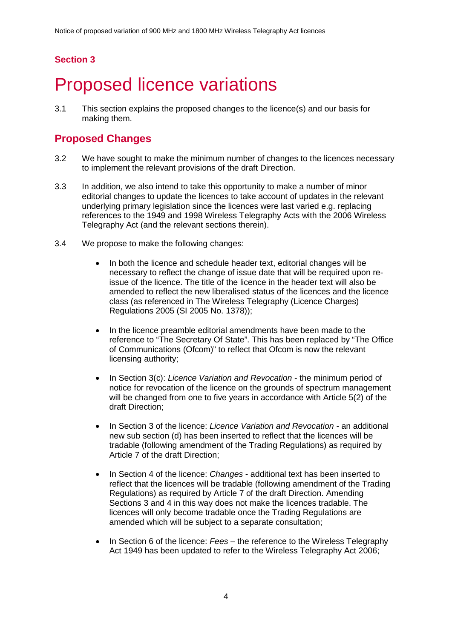# <span id="page-4-0"></span>**Proposed licence variations**

3.1 This section explains the proposed changes to the licence(s) and our basis for making them.

# **Proposed Changes**

- 3.2 We have sought to make the minimum number of changes to the licences necessary to implement the relevant provisions of the draft Direction.
- 3.3 In addition, we also intend to take this opportunity to make a number of minor editorial changes to update the licences to take account of updates in the relevant underlying primary legislation since the licences were last varied e.g. replacing references to the 1949 and 1998 Wireless Telegraphy Acts with the 2006 Wireless Telegraphy Act (and the relevant sections therein).
- 3.4 We propose to make the following changes:
	- In both the licence and schedule header text, editorial changes will be necessary to reflect the change of issue date that will be required upon reissue of the licence. The title of the licence in the header text will also be amended to reflect the new liberalised status of the licences and the licence class (as referenced in The Wireless Telegraphy (Licence Charges) Regulations 2005 (SI 2005 No. 1378));
	- In the licence preamble editorial amendments have been made to the reference to "The Secretary Of State". This has been replaced by "The Office of Communications (Ofcom)" to reflect that Ofcom is now the relevant licensing authority;
	- In Section 3(c): *Licence Variation and Revocation* the minimum period of notice for revocation of the licence on the grounds of spectrum management will be changed from one to five years in accordance with Article 5(2) of the draft Direction;
	- In Section 3 of the licence: *Licence Variation and Revocation* an additional new sub section (d) has been inserted to reflect that the licences will be tradable (following amendment of the Trading Regulations) as required by Article 7 of the draft Direction;
	- In Section 4 of the licence: *Changes* additional text has been inserted to reflect that the licences will be tradable (following amendment of the Trading Regulations) as required by Article 7 of the draft Direction. Amending Sections 3 and 4 in this way does not make the licences tradable. The licences will only become tradable once the Trading Regulations are amended which will be subject to a separate consultation;
	- In Section 6 of the licence: *Fees* the reference to the Wireless Telegraphy Act 1949 has been updated to refer to the Wireless Telegraphy Act 2006;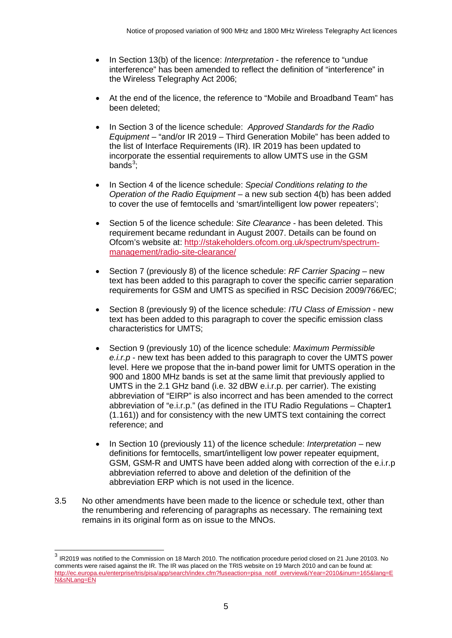- In Section 13(b) of the licence: *Interpretation* the reference to "undue interference" has been amended to reflect the definition of "interference" in the Wireless Telegraphy Act 2006;
- At the end of the licence, the reference to "Mobile and Broadband Team" has been deleted;
- In Section 3 of the licence schedule: *Approved Standards for the Radio Equipment* – "and/or IR 2019 – Third Generation Mobile" has been added to the list of Interface Requirements (IR). IR 2019 has been updated to incorporate the essential requirements to allow UMTS use in the GSM bands $3$ ;
- In Section 4 of the licence schedule: *Special Conditions relating to the Operation of the Radio Equipment* – a new sub section 4(b) has been added to cover the use of femtocells and 'smart/intelligent low power repeaters';
- Section 5 of the licence schedule: *Site Clearance* has been deleted. This requirement became redundant in August 2007. Details can be found on Ofcom's website at: [http://stakeholders.ofcom.org.uk/spectrum/spectrum](http://stakeholders.ofcom.org.uk/spectrum/spectrum-management/radio-site-clearance/)[management/radio-site-clearance/](http://stakeholders.ofcom.org.uk/spectrum/spectrum-management/radio-site-clearance/)
- Section 7 (previously 8) of the licence schedule: *RF Carrier Spacing* new text has been added to this paragraph to cover the specific carrier separation requirements for GSM and UMTS as specified in RSC Decision 2009/766/EC;
- Section 8 (previously 9) of the licence schedule: *ITU Class of Emission* new text has been added to this paragraph to cover the specific emission class characteristics for UMTS;
- Section 9 (previously 10) of the licence schedule: *Maximum Permissible e.i.r.p* - new text has been added to this paragraph to cover the UMTS power level. Here we propose that the in-band power limit for UMTS operation in the 900 and 1800 MHz bands is set at the same limit that previously applied to UMTS in the 2.1 GHz band (i.e. 32 dBW e.i.r.p. per carrier). The existing abbreviation of "EIRP" is also incorrect and has been amended to the correct abbreviation of "e.i.r.p." (as defined in the ITU Radio Regulations – Chapter1 (1.161)) and for consistency with the new UMTS text containing the correct reference; and
- In Section 10 (previously 11) of the licence schedule: *Interpretation* new definitions for femtocells, smart/intelligent low power repeater equipment, GSM, GSM-R and UMTS have been added along with correction of the e.i.r.p abbreviation referred to above and deletion of the definition of the abbreviation ERP which is not used in the licence.
- 3.5 No other amendments have been made to the licence or schedule text, other than the renumbering and referencing of paragraphs as necessary. The remaining text remains in its original form as on issue to the MNOs.

<span id="page-5-0"></span><sup>&</sup>lt;sup>3</sup> IR2019 was notified to the Commission on 18 March 2010. The notification procedure period closed on 21 June 20103. No comments were raised against the IR. The IR was placed on the TRIS website on 19 March 2010 and can be found at: [http://ec.europa.eu/enterprise/tris/pisa/app/search/index.cfm?fuseaction=pisa\\_notif\\_overview&iYear=2010&inum=165&lang=E](http://ec.europa.eu/enterprise/tris/pisa/app/search/index.cfm?fuseaction=pisa_notif_overview&iYear=2010&inum=165&lang=EN&sNLang=EN) [N&sNLang=EN](http://ec.europa.eu/enterprise/tris/pisa/app/search/index.cfm?fuseaction=pisa_notif_overview&iYear=2010&inum=165&lang=EN&sNLang=EN)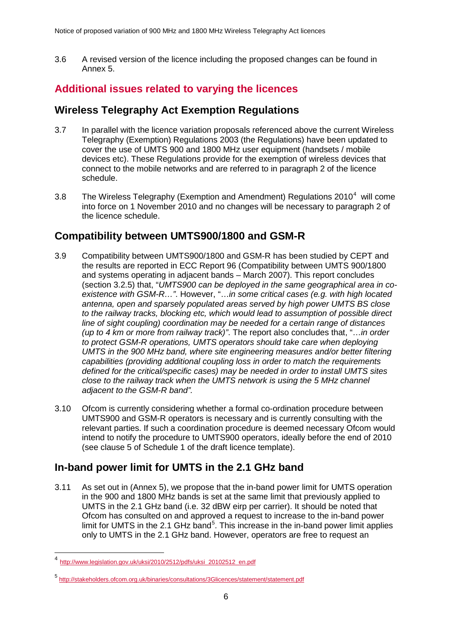3.6 A revised version of the licence including the proposed changes can be found in Annex 5.

# **Additional issues related to varying the licences**

## **Wireless Telegraphy Act Exemption Regulations**

- 3.7 In parallel with the licence variation proposals referenced above the current Wireless Telegraphy (Exemption) Regulations 2003 (the Regulations) have been updated to cover the use of UMTS 900 and 1800 MHz user equipment (handsets / mobile devices etc). These Regulations provide for the exemption of wireless devices that connect to the mobile networks and are referred to in paragraph 2 of the licence schedule.
- 3.8 The Wireless Telegraphy (Exemption and Amendment) Regulations  $2010^4$  $2010^4$  will come into force on 1 November 2010 and no changes will be necessary to paragraph 2 of the licence schedule.

# **Compatibility between UMTS900/1800 and GSM-R**

- 3.9 Compatibility between UMTS900/1800 and GSM-R has been studied by CEPT and the results are reported in ECC Report 96 (Compatibility between UMTS 900/1800 and systems operating in adjacent bands – March 2007). This report concludes (section 3.2.5) that, "*UMTS900 can be deployed in the same geographical area in coexistence with GSM-R…"*. However, "…*in some critical cases (e.g. with high located antenna, open and sparsely populated areas served by high power UMTS BS close to the railway tracks, blocking etc, which would lead to assumption of possible direct line of sight coupling) coordination may be needed for a certain range of distances (up to 4 km or more from railway track)"*. The report also concludes that, "…*in order to protect GSM-R operations, UMTS operators should take care when deploying UMTS in the 900 MHz band, where site engineering measures and/or better filtering capabilities (providing additional coupling loss in order to match the requirements defined for the critical/specific cases) may be needed in order to install UMTS sites close to the railway track when the UMTS network is using the 5 MHz channel adjacent to the GSM-R band".*
- 3.10 Ofcom is currently considering whether a formal co-ordination procedure between UMTS900 and GSM-R operators is necessary and is currently consulting with the relevant parties. If such a coordination procedure is deemed necessary Ofcom would intend to notify the procedure to UMTS900 operators, ideally before the end of 2010 (see clause 5 of Schedule 1 of the draft licence template).

# **In-band power limit for UMTS in the 2.1 GHz band**

3.11 As set out in (Annex 5), we propose that the in-band power limit for UMTS operation in the 900 and 1800 MHz bands is set at the same limit that previously applied to UMTS in the 2.1 GHz band (i.e. 32 dBW eirp per carrier). It should be noted that Ofcom has consulted on and approved a request to increase to the in-band power limit for UMTS in the 2.1 GHz band<sup>[5](#page-6-1)</sup>. This increase in the in-band power limit applies only to UMTS in the 2.1 GHz band. However, operators are free to request an

<span id="page-6-0"></span> <sup>4</sup> [http://www.legislation.gov.uk/uksi/2010/2512/pdfs/uksi\\_20102512\\_en.pdf](http://www.legislation.gov.uk/uksi/2010/2512/pdfs/uksi_20102512_en.pdf)

<span id="page-6-1"></span><sup>5</sup> <http://stakeholders.ofcom.org.uk/binaries/consultations/3Glicences/statement/statement.pdf>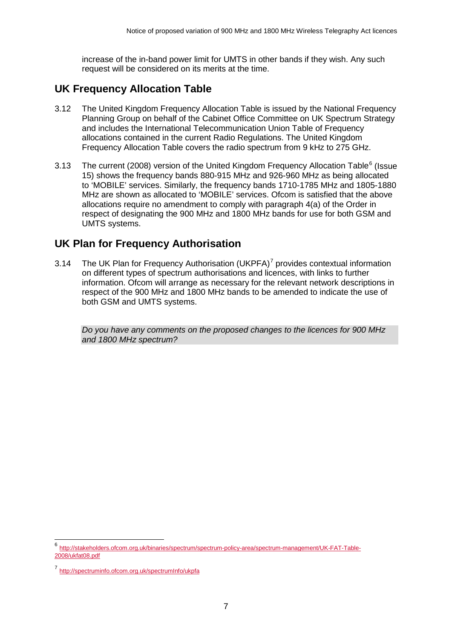increase of the in-band power limit for UMTS in other bands if they wish. Any such request will be considered on its merits at the time.

# **UK Frequency Allocation Table**

- 3.12 The United Kingdom Frequency Allocation Table is issued by the National Frequency Planning Group on behalf of the Cabinet Office Committee on UK Spectrum Strategy and includes the International Telecommunication Union Table of Frequency allocations contained in the current Radio Regulations. The United Kingdom Frequency Allocation Table covers the radio spectrum from 9 kHz to 275 GHz.
- 3.13 The current (2008) version of the United Kingdom Frequency Allocation Table<sup>[6](#page-7-0)</sup> (Issue 15) shows the frequency bands 880-915 MHz and 926-960 MHz as being allocated to 'MOBILE' services. Similarly, the frequency bands 1710-1785 MHz and 1805-1880 MHz are shown as allocated to 'MOBILE' services. Ofcom is satisfied that the above allocations require no amendment to comply with paragraph 4(a) of the Order in respect of designating the 900 MHz and 1800 MHz bands for use for both GSM and UMTS systems.

# **UK Plan for Frequency Authorisation**

3.14 The UK Plan for Frequency Authorisation (UKPFA) $<sup>7</sup>$  $<sup>7</sup>$  $<sup>7</sup>$  provides contextual information</sup> on different types of spectrum authorisations and licences, with links to further information. Ofcom will arrange as necessary for the relevant network descriptions in respect of the 900 MHz and 1800 MHz bands to be amended to indicate the use of both GSM and UMTS systems.

*Do you have any comments on the proposed changes to the licences for 900 MHz and 1800 MHz spectrum?* 

<span id="page-7-0"></span> <sup>6</sup> [http://stakeholders.ofcom.org.uk/binaries/spectrum/spectrum-policy-area/spectrum-management/UK-FAT-Table-](http://stakeholders.ofcom.org.uk/binaries/spectrum/spectrum-policy-area/spectrum-management/UK-FAT-Table-2008/ukfat08.pdf)[2008/ukfat08.pdf](http://stakeholders.ofcom.org.uk/binaries/spectrum/spectrum-policy-area/spectrum-management/UK-FAT-Table-2008/ukfat08.pdf)

<span id="page-7-1"></span><sup>7</sup> <http://spectruminfo.ofcom.org.uk/spectrumInfo/ukpfa>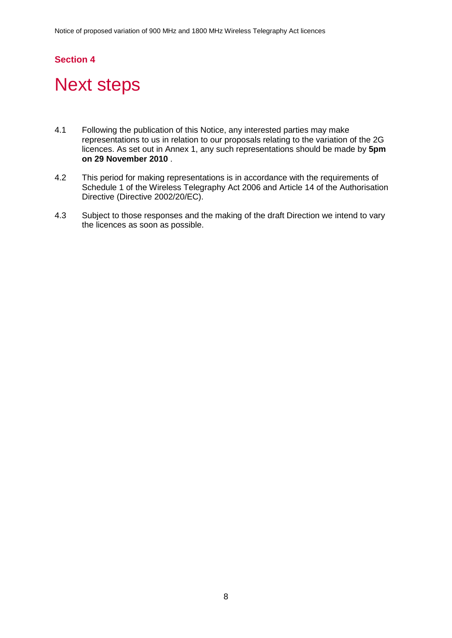# <span id="page-8-0"></span>**Next steps**

- 4.1 Following the publication of this Notice, any interested parties may make representations to us in relation to our proposals relating to the variation of the 2G licences. As set out in Annex 1, any such representations should be made by **5pm on 29 November 2010** .
- 4.2 This period for making representations is in accordance with the requirements of Schedule 1 of the Wireless Telegraphy Act 2006 and Article 14 of the Authorisation Directive (Directive 2002/20/EC).
- 4.3 Subject to those responses and the making of the draft Direction we intend to vary the licences as soon as possible.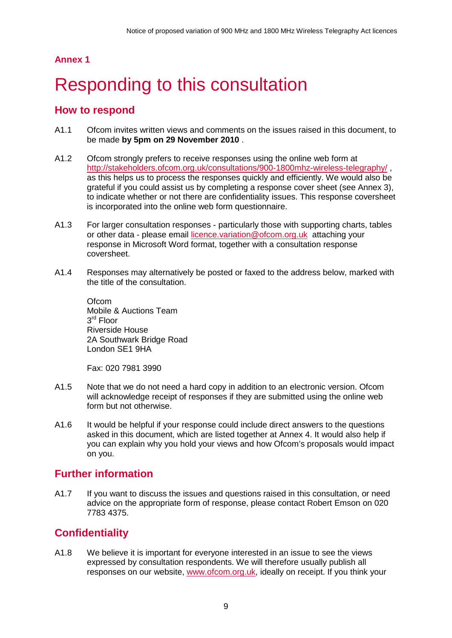## **Annex 1**

# <span id="page-9-0"></span>Responding to this consultation

## **How to respond**

- A1.1 Ofcom invites written views and comments on the issues raised in this document, to be made **by 5pm on 29 November 2010** .
- A1.2 Ofcom strongly prefers to receive responses using the online web form at <http://stakeholders.ofcom.org.uk/consultations/900-1800mhz-wireless-telegraphy/> , as this helps us to process the responses quickly and efficiently. We would also be grateful if you could assist us by completing a response cover sheet (see Annex 3), to indicate whether or not there are confidentiality issues. This response coversheet is incorporated into the online web form questionnaire.
- A1.3 For larger consultation responses particularly those with supporting charts, tables or other data - please email [licence.variation@ofcom.org.uk](mailto:licence.variation@ofcom.org.uk) attaching your response in Microsoft Word format, together with a consultation response coversheet.
- A1.4 Responses may alternatively be posted or faxed to the address below, marked with the title of the consultation.

Ofcom Mobile & Auctions Team 3<sup>rd</sup> Floor Riverside House 2A Southwark Bridge Road London SE1 9HA

Fax: 020 7981 3990

- A1.5 Note that we do not need a hard copy in addition to an electronic version. Ofcom will acknowledge receipt of responses if they are submitted using the online web form but not otherwise.
- A1.6 It would be helpful if your response could include direct answers to the questions asked in this document, which are listed together at Annex 4. It would also help if you can explain why you hold your views and how Ofcom's proposals would impact on you.

# **Further information**

A1.7 If you want to discuss the issues and questions raised in this consultation, or need advice on the appropriate form of response, please contact Robert Emson on 020 7783 4375.

## **Confidentiality**

A1.8 We believe it is important for everyone interested in an issue to see the views expressed by consultation respondents. We will therefore usually publish all responses on our website, [www.ofcom.org.uk,](http://www.ofcom.org.uk/) ideally on receipt. If you think your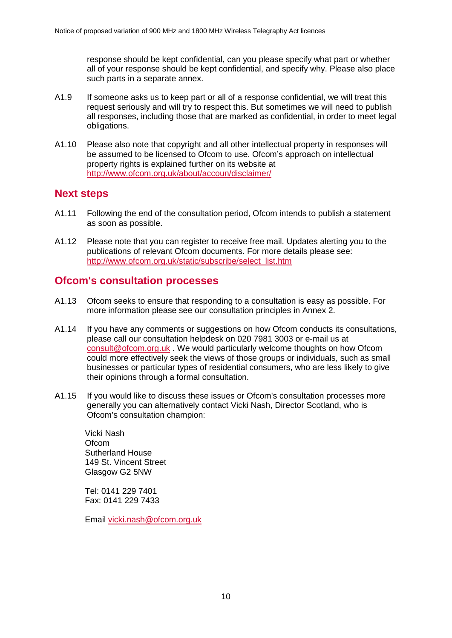response should be kept confidential, can you please specify what part or whether all of your response should be kept confidential, and specify why. Please also place such parts in a separate annex.

- A1.9 If someone asks us to keep part or all of a response confidential, we will treat this request seriously and will try to respect this. But sometimes we will need to publish all responses, including those that are marked as confidential, in order to meet legal obligations.
- A1.10 Please also note that copyright and all other intellectual property in responses will be assumed to be licensed to Ofcom to use. Ofcom's approach on intellectual property rights is explained further on its website at <http://www.ofcom.org.uk/about/accoun/disclaimer/>

### **Next steps**

- A1.11 Following the end of the consultation period, Ofcom intends to publish a statement as soon as possible.
- A1.12 Please note that you can register to receive free mail. Updates alerting you to the publications of relevant Ofcom documents. For more details please see: [http://www.ofcom.org.uk/static/subscribe/select\\_list.htm](http://www.ofcom.org.uk/static/subscribe/select_list.htm)

### **Ofcom's consultation processes**

- A1.13 Ofcom seeks to ensure that responding to a consultation is easy as possible. For more information please see our consultation principles in Annex 2.
- A1.14 If you have any comments or suggestions on how Ofcom conducts its consultations, please call our consultation helpdesk on 020 7981 3003 or e-mail us at [consult@ofcom.org.uk](mailto:consult@ofcom.org.uk) . We would particularly welcome thoughts on how Ofcom could more effectively seek the views of those groups or individuals, such as small businesses or particular types of residential consumers, who are less likely to give their opinions through a formal consultation.
- A1.15 If you would like to discuss these issues or Ofcom's consultation processes more generally you can alternatively contact Vicki Nash, Director Scotland, who is Ofcom's consultation champion:

Vicki Nash **Ofcom** Sutherland House 149 St. Vincent Street Glasgow G2 5NW

Tel: 0141 229 7401 Fax: 0141 229 7433

Email [vicki.nash@ofcom.org.uk](mailto:vicki.nash@ofcom.org.uk)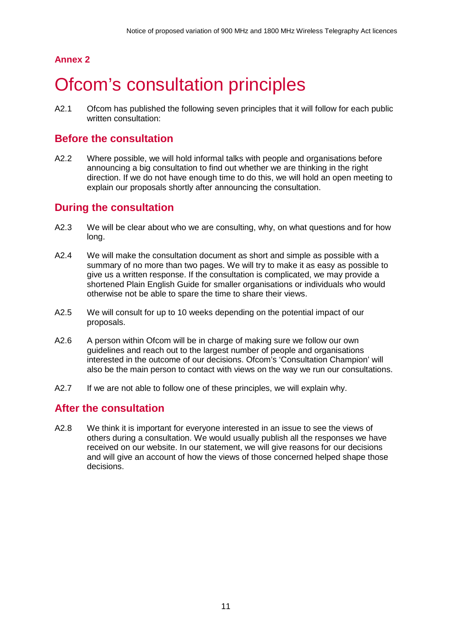## **Annex 2**

# <span id="page-11-0"></span>**Ofcom's consultation principles**

A2.1 Ofcom has published the following seven principles that it will follow for each public written consultation:

## **Before the consultation**

A2.2 Where possible, we will hold informal talks with people and organisations before announcing a big consultation to find out whether we are thinking in the right direction. If we do not have enough time to do this, we will hold an open meeting to explain our proposals shortly after announcing the consultation.

## **During the consultation**

- A2.3 We will be clear about who we are consulting, why, on what questions and for how long.
- A2.4 We will make the consultation document as short and simple as possible with a summary of no more than two pages. We will try to make it as easy as possible to give us a written response. If the consultation is complicated, we may provide a shortened Plain English Guide for smaller organisations or individuals who would otherwise not be able to spare the time to share their views.
- A2.5 We will consult for up to 10 weeks depending on the potential impact of our proposals.
- A2.6 A person within Ofcom will be in charge of making sure we follow our own guidelines and reach out to the largest number of people and organisations interested in the outcome of our decisions. Ofcom's 'Consultation Champion' will also be the main person to contact with views on the way we run our consultations.
- A2.7 If we are not able to follow one of these principles, we will explain why.

## **After the consultation**

A2.8 We think it is important for everyone interested in an issue to see the views of others during a consultation. We would usually publish all the responses we have received on our website. In our statement, we will give reasons for our decisions and will give an account of how the views of those concerned helped shape those decisions.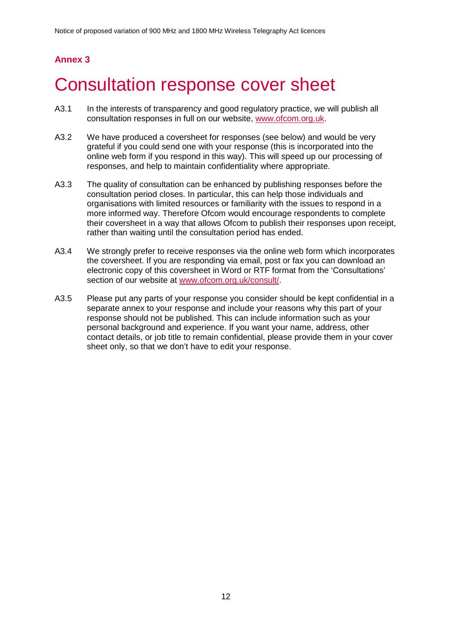# **Annex 3**

# <span id="page-12-0"></span>3 Consultation response cover sheet

- A3.1 In the interests of transparency and good regulatory practice, we will publish all consultation responses in full on our website, [www.ofcom.org.uk.](http://www.ofcom.org.uk/)
- A3.2 We have produced a coversheet for responses (see below) and would be very grateful if you could send one with your response (this is incorporated into the online web form if you respond in this way). This will speed up our processing of responses, and help to maintain confidentiality where appropriate.
- A3.3 The quality of consultation can be enhanced by publishing responses before the consultation period closes. In particular, this can help those individuals and organisations with limited resources or familiarity with the issues to respond in a more informed way. Therefore Ofcom would encourage respondents to complete their coversheet in a way that allows Ofcom to publish their responses upon receipt, rather than waiting until the consultation period has ended.
- A3.4 We strongly prefer to receive responses via the online web form which incorporates the coversheet. If you are responding via email, post or fax you can download an electronic copy of this coversheet in Word or RTF format from the 'Consultations' section of our website at [www.ofcom.org.uk/consult/.](http://www.ofcom.org.uk/consult/)
- A3.5 Please put any parts of your response you consider should be kept confidential in a separate annex to your response and include your reasons why this part of your response should not be published. This can include information such as your personal background and experience. If you want your name, address, other contact details, or job title to remain confidential, please provide them in your cover sheet only, so that we don't have to edit your response.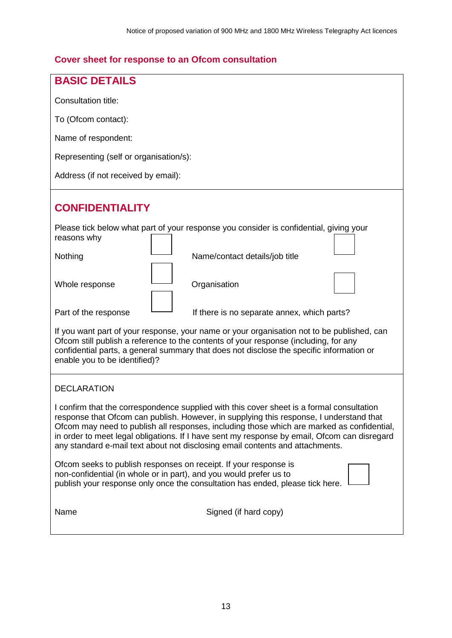# **Cover sheet for response to an Ofcom consultation**

| <b>BASIC DETAILS</b>                                                                                                                                                                                                                                                                                                                                                                                                                                                |  |  |  |  |
|---------------------------------------------------------------------------------------------------------------------------------------------------------------------------------------------------------------------------------------------------------------------------------------------------------------------------------------------------------------------------------------------------------------------------------------------------------------------|--|--|--|--|
| <b>Consultation title:</b>                                                                                                                                                                                                                                                                                                                                                                                                                                          |  |  |  |  |
| To (Ofcom contact):                                                                                                                                                                                                                                                                                                                                                                                                                                                 |  |  |  |  |
| Name of respondent:                                                                                                                                                                                                                                                                                                                                                                                                                                                 |  |  |  |  |
| Representing (self or organisation/s):                                                                                                                                                                                                                                                                                                                                                                                                                              |  |  |  |  |
| Address (if not received by email):                                                                                                                                                                                                                                                                                                                                                                                                                                 |  |  |  |  |
| <b>CONFIDENTIALITY</b>                                                                                                                                                                                                                                                                                                                                                                                                                                              |  |  |  |  |
| Please tick below what part of your response you consider is confidential, giving your<br>reasons why                                                                                                                                                                                                                                                                                                                                                               |  |  |  |  |
| Nothing<br>Name/contact details/job title                                                                                                                                                                                                                                                                                                                                                                                                                           |  |  |  |  |
| Organisation<br>Whole response                                                                                                                                                                                                                                                                                                                                                                                                                                      |  |  |  |  |
| Part of the response<br>If there is no separate annex, which parts?                                                                                                                                                                                                                                                                                                                                                                                                 |  |  |  |  |
| If you want part of your response, your name or your organisation not to be published, can<br>Ofcom still publish a reference to the contents of your response (including, for any<br>confidential parts, a general summary that does not disclose the specific information or<br>enable you to be identified)?                                                                                                                                                     |  |  |  |  |
| <b>DECLARATION</b>                                                                                                                                                                                                                                                                                                                                                                                                                                                  |  |  |  |  |
| I confirm that the correspondence supplied with this cover sheet is a formal consultation<br>response that Ofcom can publish. However, in supplying this response, I understand that<br>Ofcom may need to publish all responses, including those which are marked as confidential,<br>in order to meet legal obligations. If I have sent my response by email, Ofcom can disregard<br>any standard e-mail text about not disclosing email contents and attachments. |  |  |  |  |
| Ofcom seeks to publish responses on receipt. If your response is<br>non-confidential (in whole or in part), and you would prefer us to<br>publish your response only once the consultation has ended, please tick here.                                                                                                                                                                                                                                             |  |  |  |  |
| Name<br>Signed (if hard copy)                                                                                                                                                                                                                                                                                                                                                                                                                                       |  |  |  |  |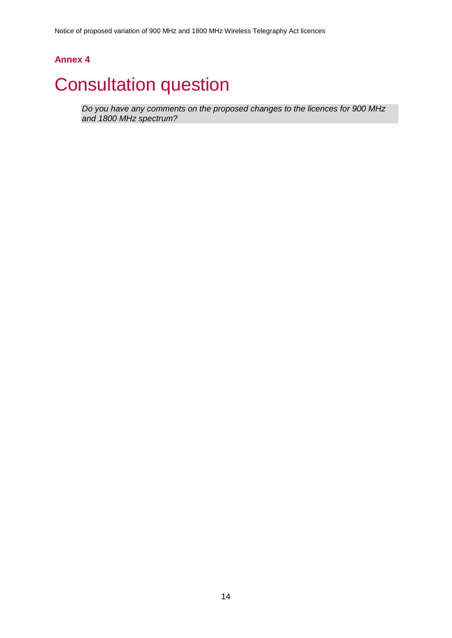Notice of proposed variation of 900 MHz and 1800 MHz Wireless Telegraphy Act licences

## **Annex 4**

# <span id="page-14-0"></span>**Consultation question**

*Do you have any comments on the proposed changes to the licences for 900 MHz and 1800 MHz spectrum?*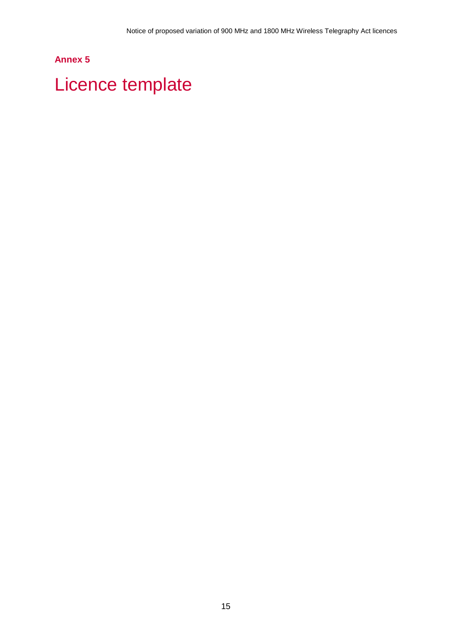## **Annex 5**

# <span id="page-15-0"></span>Licence template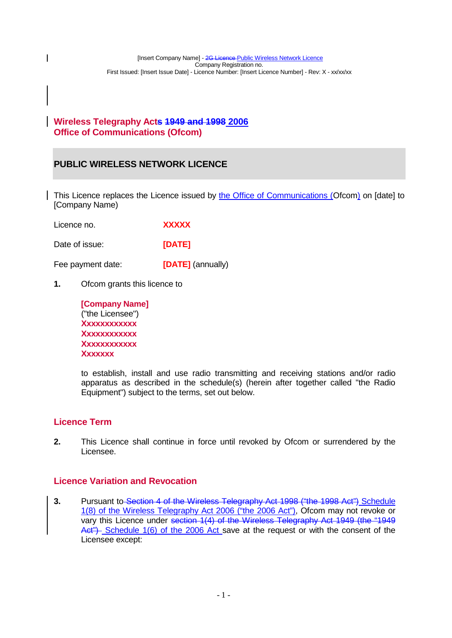### **Wireless Telegraphy Acts 1949 and 1998 2006 Office of Communications (Ofcom)**

### **PUBLIC WIRELESS NETWORK LICENCE**

This Licence replaces the Licence issued by the Office of Communications (Ofcom) on [date] to [Company Name)

| Licence no. | <b>XXXXX</b> |
|-------------|--------------|
|-------------|--------------|

Date of issue: **[DATE]** 

Fee payment date: **[DATE]** (annually)

**1.** Ofcom grants this licence to

| [Company Name]   |
|------------------|
| ("the Licensee") |
| Xxxxxxxxxxxx     |
| Xxxxxxxxxxxx     |
| XXXXXXXXXXXX     |
| XXXXXXX          |

to establish, install and use radio transmitting and receiving stations and/or radio apparatus as described in the schedule(s) (herein after together called "the Radio Equipment") subject to the terms, set out below.

### **Licence Term**

 $\overline{\phantom{a}}$ 

**2.** This Licence shall continue in force until revoked by Ofcom or surrendered by the Licensee.

### **Licence Variation and Revocation**

**3.** Pursuant to Section 4 of the Wireless Telegraphy Act 1998 ("the 1998 Act") Schedule 1(8) of the Wireless Telegraphy Act 2006 ("the 2006 Act"), Ofcom may not revoke or vary this Licence under section 1(4) of the Wireless Telegraphy Act 1949 (the "1949  $Act$ ) Schedule 1(6) of the 2006 Act save at the request or with the consent of the Licensee except: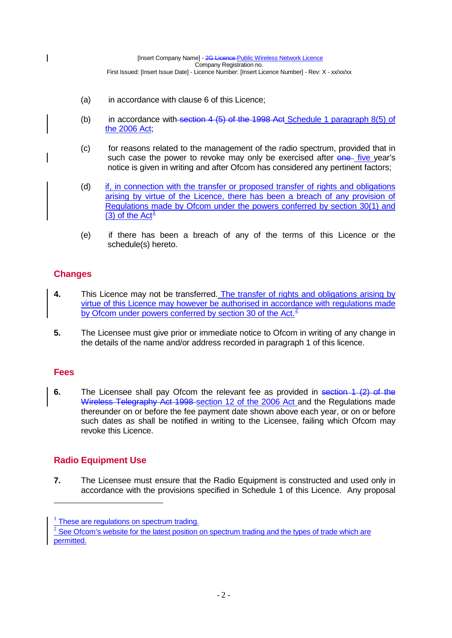- (a) in accordance with clause 6 of this Licence;
- (b) in accordance with section  $4$  (5) of the 1998 Act Schedule 1 paragraph  $8(5)$  of the 2006 Act;
- (c) for reasons related to the management of the radio spectrum, provided that in such case the power to revoke may only be exercised after one five year's notice is given in writing and after Ofcom has considered any pertinent factors;
- (d) if, in connection with the transfer or proposed transfer of rights and obligations arising by virtue of the Licence, there has been a breach of any provision of Regulations made by Ofcom under the powers conferred by section 30(1) and (3) of the  $Act<sup>1</sup>$  $Act<sup>1</sup>$  $Act<sup>1</sup>$
- (e) if there has been a breach of any of the terms of this Licence or the schedule(s) hereto.

### **Changes**

 $\overline{\phantom{a}}$ 

- **4.** This Licence may not be transferred. The transfer of rights and obligations arising by virtue of this Licence may however be authorised in accordance with regulations made by Ofcom under powers conferred by section 30 of the Act. $2$
- **5.** The Licensee must give prior or immediate notice to Ofcom in writing of any change in the details of the name and/or address recorded in paragraph 1 of this licence.

### **Fees**

<u>.</u>

**6.** The Licensee shall pay Ofcom the relevant fee as provided in section 1 (2) of the Wireless Telegraphy Act 1998 section 12 of the 2006 Act and the Regulations made thereunder on or before the fee payment date shown above each year, or on or before such dates as shall be notified in writing to the Licensee, failing which Ofcom may revoke this Licence.

### **Radio Equipment Use**

**7.** The Licensee must ensure that the Radio Equipment is constructed and used only in accordance with the provisions specified in Schedule 1 of this Licence. Any proposal

<span id="page-17-0"></span> $1$  These are regulations on spectrum trading.

<span id="page-17-1"></span> $2$  See Ofcom's website for the latest position on spectrum trading and the types of trade which are permitted.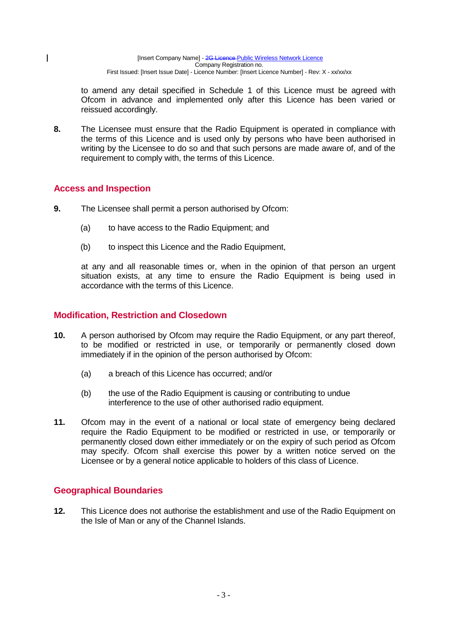to amend any detail specified in Schedule 1 of this Licence must be agreed with Ofcom in advance and implemented only after this Licence has been varied or reissued accordingly.

**8.** The Licensee must ensure that the Radio Equipment is operated in compliance with the terms of this Licence and is used only by persons who have been authorised in writing by the Licensee to do so and that such persons are made aware of, and of the requirement to comply with, the terms of this Licence.

### **Access and Inspection**

 $\mathbf{I}$ 

- **9.** The Licensee shall permit a person authorised by Ofcom:
	- (a) to have access to the Radio Equipment; and
	- (b) to inspect this Licence and the Radio Equipment,

at any and all reasonable times or, when in the opinion of that person an urgent situation exists, at any time to ensure the Radio Equipment is being used in accordance with the terms of this Licence.

### **Modification, Restriction and Closedown**

- **10.** A person authorised by Ofcom may require the Radio Equipment, or any part thereof, to be modified or restricted in use, or temporarily or permanently closed down immediately if in the opinion of the person authorised by Ofcom:
	- (a) a breach of this Licence has occurred; and/or
	- (b) the use of the Radio Equipment is causing or contributing to undue interference to the use of other authorised radio equipment.
- **11.** Ofcom may in the event of a national or local state of emergency being declared require the Radio Equipment to be modified or restricted in use, or temporarily or permanently closed down either immediately or on the expiry of such period as Ofcom may specify. Ofcom shall exercise this power by a written notice served on the Licensee or by a general notice applicable to holders of this class of Licence.

### **Geographical Boundaries**

**12.** This Licence does not authorise the establishment and use of the Radio Equipment on the Isle of Man or any of the Channel Islands.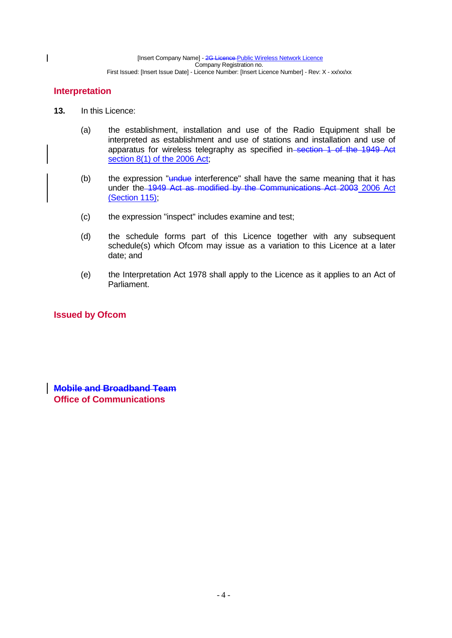### **Interpretation**

 $\overline{\phantom{a}}$ 

- **13.** In this Licence:
	- (a) the establishment, installation and use of the Radio Equipment shall be interpreted as establishment and use of stations and installation and use of apparatus for wireless telegraphy as specified in–section 1 of the 1949 Act section 8(1) of the 2006 Act;
	- (b) the expression " $u$ ndue interference" shall have the same meaning that it has under the 1949 Act as modified by the Communications Act 2003 2006 Act (Section 115);
	- (c) the expression "inspect" includes examine and test;
	- (d) the schedule forms part of this Licence together with any subsequent schedule(s) which Ofcom may issue as a variation to this Licence at a later date; and
	- (e) the Interpretation Act 1978 shall apply to the Licence as it applies to an Act of Parliament.

### **Issued by Ofcom**

**Mobile and Broadband Team Office of Communications**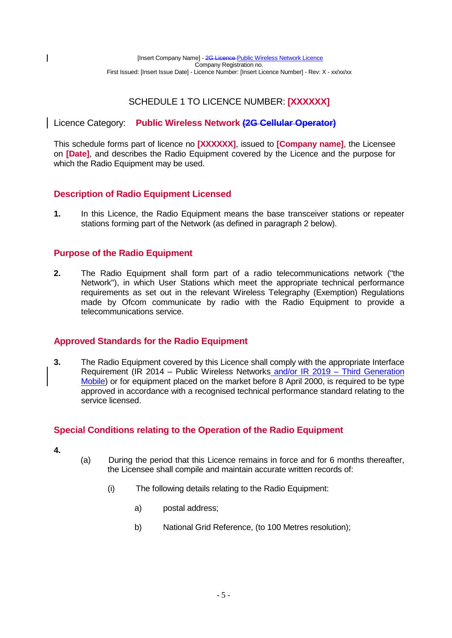### SCHEDULE 1 TO LICENCE NUMBER: **[XXXXXX]**

### Licence Category: **Public Wireless Network (2G Cellular Operator)**

This schedule forms part of licence no **[XXXXXX]**, issued to **[Company name]**, the Licensee on **[Date]**, and describes the Radio Equipment covered by the Licence and the purpose for which the Radio Equipment may be used.

### **Description of Radio Equipment Licensed**

**1.** In this Licence, the Radio Equipment means the base transceiver stations or repeater stations forming part of the Network (as defined in paragraph 2 below).

### **Purpose of the Radio Equipment**

**2.** The Radio Equipment shall form part of a radio telecommunications network ("the Network"), in which User Stations which meet the appropriate technical performance requirements as set out in the relevant Wireless Telegraphy (Exemption) Regulations made by Ofcom communicate by radio with the Radio Equipment to provide a telecommunications service.

### **Approved Standards for the Radio Equipment**

**3.** The Radio Equipment covered by this Licence shall comply with the appropriate Interface Requirement (IR 2014 – Public Wireless Networks and/or IR 2019 – Third Generation Mobile) or for equipment placed on the market before 8 April 2000, is required to be type approved in accordance with a recognised technical performance standard relating to the service licensed.

### **Special Conditions relating to the Operation of the Radio Equipment**

**4.**

 $\overline{\phantom{a}}$ 

- (a) During the period that this Licence remains in force and for 6 months thereafter, the Licensee shall compile and maintain accurate written records of:
	- (i) The following details relating to the Radio Equipment:
		- a) postal address;
		- b) National Grid Reference, (to 100 Metres resolution);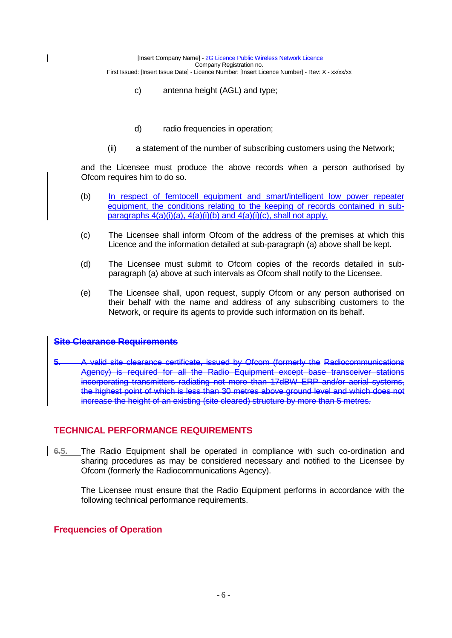- c) antenna height (AGL) and type;
- d) radio frequencies in operation;
- (ii) a statement of the number of subscribing customers using the Network;

and the Licensee must produce the above records when a person authorised by Ofcom requires him to do so.

- (b) In respect of femtocell equipment and smart/intelligent low power repeater equipment, the conditions relating to the keeping of records contained in subparagraphs 4(a)(i)(a), 4(a)(i)(b) and 4(a)(i)(c), shall not apply.
- (c) The Licensee shall inform Ofcom of the address of the premises at which this Licence and the information detailed at sub-paragraph (a) above shall be kept.
- (d) The Licensee must submit to Ofcom copies of the records detailed in subparagraph (a) above at such intervals as Ofcom shall notify to the Licensee.
- (e) The Licensee shall, upon request, supply Ofcom or any person authorised on their behalf with the name and address of any subscribing customers to the Network, or require its agents to provide such information on its behalf.

### **Site Clearance Requirements**

 $\overline{1}$ 

**5.** A valid site clearance certificate, issued by Ofcom (formerly the Radiocommunications Agency) is required for all the Radio Equipment except base transceiver stations incorporating transmitters radiating not more than 17dBW ERP and/or aerial systems, the highest point of which is less than 30 metres above ground level and which does not increase the height of an existing (site cleared) structure by more than 5 metres.

### **TECHNICAL PERFORMANCE REQUIREMENTS**

**6.5.** The Radio Equipment shall be operated in compliance with such co-ordination and sharing procedures as may be considered necessary and notified to the Licensee by Ofcom (formerly the Radiocommunications Agency).

The Licensee must ensure that the Radio Equipment performs in accordance with the following technical performance requirements.

### **Frequencies of Operation**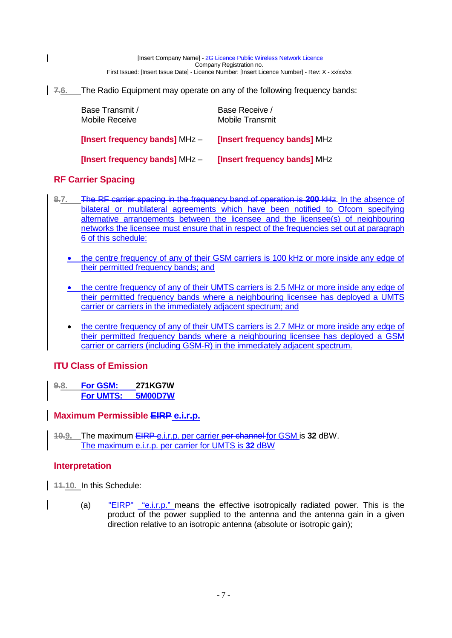**7.6.** The Radio Equipment may operate on any of the following frequency bands:

| Base Transmit /<br><b>Mobile Receive</b> | Base Receive /<br><b>Mobile Transmit</b> |
|------------------------------------------|------------------------------------------|
| <b>[Insert frequency bands] MHz -</b>    | <b>[Insert frequency bands] MHz</b>      |
| <b>[Insert frequency bands] MHz -</b>    | <b>[Insert frequency bands] MHz</b>      |

### **RF Carrier Spacing**

 $\overline{\phantom{a}}$ 

- **8.7.** The RF carrier spacing in the frequency band of operation is **200** kHz. In the absence of bilateral or multilateral agreements which have been notified to Ofcom specifying alternative arrangements between the licensee and the licensee(s) of neighbouring networks the licensee must ensure that in respect of the frequencies set out at paragraph 6 of this schedule:
	- the centre frequency of any of their GSM carriers is 100 kHz or more inside any edge of their permitted frequency bands; and
	- the centre frequency of any of their UMTS carriers is 2.5 MHz or more inside any edge of their permitted frequency bands where a neighbouring licensee has deployed a UMTS carrier or carriers in the immediately adjacent spectrum; and
	- the centre frequency of any of their UMTS carriers is 2.7 MHz or more inside any edge of their permitted frequency bands where a neighbouring licensee has deployed a GSM carrier or carriers (including GSM-R) in the immediately adjacent spectrum.

### **ITU Class of Emission**

**9.8. For GSM: 271KG7W For UMTS: 5M00D7W**

### **Maximum Permissible EIRP e.i.r.p.**

**10.9.** The maximum EIRP e.i.r.p. per carrier per channel for GSM is **32** dBW. The maximum e.i.r.p. per carrier for UMTS is **32** dBW

### **Interpretation**

**11.10.** In this Schedule:

(a)  $\overline{H} = \overline{H} + \overline{H} + \overline{H}$  "e.i.r.p." means the effective isotropically radiated power. This is the product of the power supplied to the antenna and the antenna gain in a given direction relative to an isotropic antenna (absolute or isotropic gain);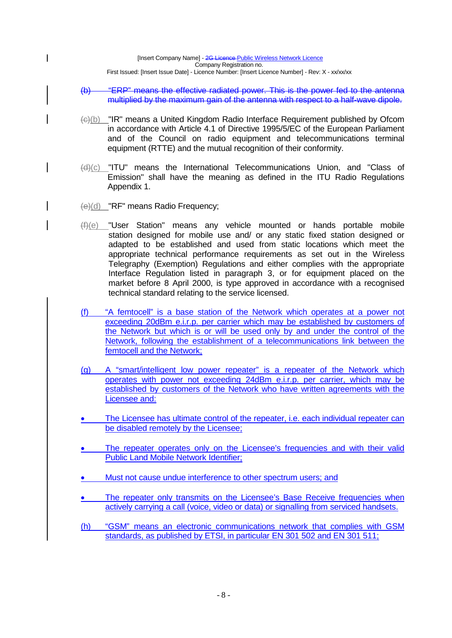- (b) "ERP" means the effective radiated power. This is the power fed to the antenna multiplied by the maximum gain of the antenna with respect to a half-wave dipole.
- (c)(b) "IR" means a United Kingdom Radio Interface Requirement published by Ofcom in accordance with Article 4.1 of Directive 1995/5/EC of the European Parliament and of the Council on radio equipment and telecommunications terminal equipment (RTTE) and the mutual recognition of their conformity.
- (d)(c) "ITU" means the International Telecommunications Union, and "Class of Emission" shall have the meaning as defined in the ITU Radio Regulations Appendix 1.
- (e)(d) "RF" means Radio Frequency;

 $\mathsf{I}$ 

- $(f)(e)$  "User Station" means any vehicle mounted or hands portable mobile station designed for mobile use and/ or any static fixed station designed or adapted to be established and used from static locations which meet the appropriate technical performance requirements as set out in the Wireless Telegraphy (Exemption) Regulations and either complies with the appropriate Interface Regulation listed in paragraph 3, or for equipment placed on the market before 8 April 2000, is type approved in accordance with a recognised technical standard relating to the service licensed.
- (f) "A femtocell" is a base station of the Network which operates at a power not exceeding 20dBm e.i.r.p. per carrier which may be established by customers of the Network but which is or will be used only by and under the control of the Network, following the establishment of a telecommunications link between the femtocell and the Network;
- (g) A "smart/intelligent low power repeater" is a repeater of the Network which operates with power not exceeding 24dBm e.i.r.p. per carrier, which may be established by customers of the Network who have written agreements with the Licensee and:
- The Licensee has ultimate control of the repeater, i.e. each individual repeater can be disabled remotely by the Licensee;
- The repeater operates only on the Licensee's frequencies and with their valid Public Land Mobile Network Identifier;
- Must not cause undue interference to other spectrum users; and
- The repeater only transmits on the Licensee's Base Receive frequencies when actively carrying a call (voice, video or data) or signalling from serviced handsets.
- (h) "GSM" means an electronic communications network that complies with GSM standards, as published by ETSI, in particular EN 301 502 and EN 301 511;